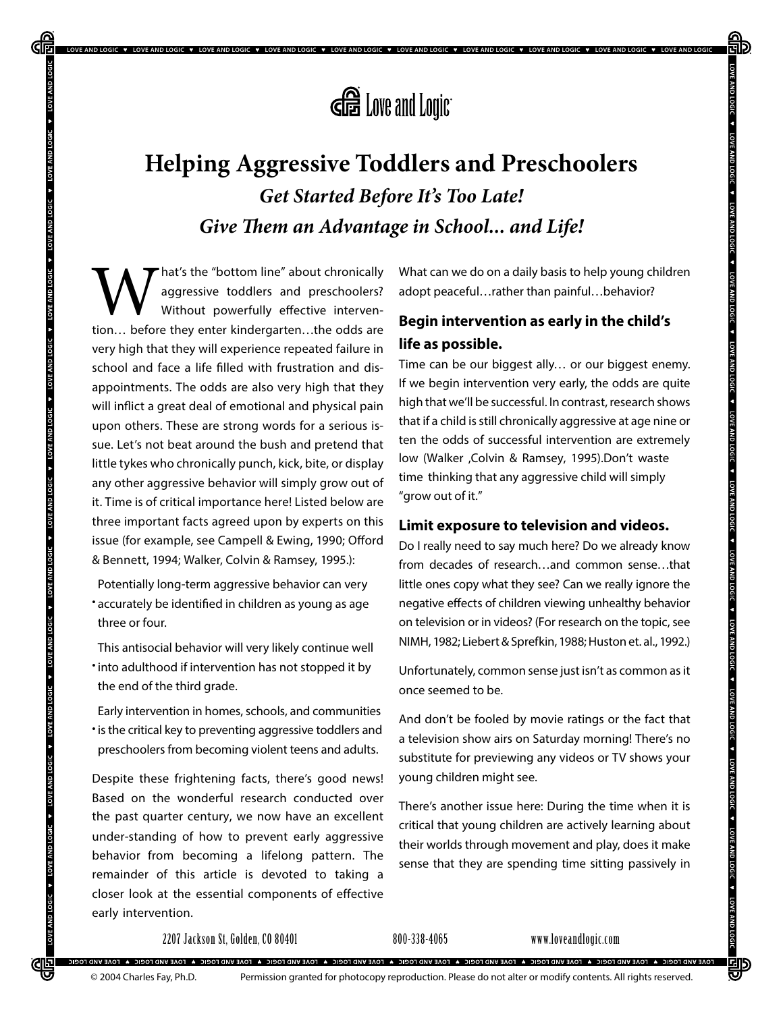

V LOVE AND LOGIC V LOVE AND LOGIC V LOVE AND LOGIC V LOVE AND LOGIC V LOVE AND LOGIC V LOVE AND LOGIC V LOVE AND LOGIC V LOVE AND LOGIC V LOVE AND LOGIC V LOVE AND LOGIC V LOVE AND LOGIC V LOVE AND LOGIC V LOVE AND LOGIC

# **Helping Aggressive Toddlers and Preschoolers** *Get Started Before It's Too Late! Give Them an Advantage in School... and Life!*

**W**hat's the "bottom line" about chronically aggressive toddlers and preschoolers?<br>Without powerfully effective intervention... before they enter kindergarten...the odds are aggressive toddlers and preschoolers? Without powerfully effective intervenvery high that they will experience repeated failure in school and face a life filled with frustration and disappointments. The odds are also very high that they will inflict a great deal of emotional and physical pain upon others. These are strong words for a serious issue. Let's not beat around the bush and pretend that little tykes who chronically punch, kick, bite, or display any other aggressive behavior will simply grow out of it. Time is of critical importance here! Listed below are three important facts agreed upon by experts on this issue (for example, see Campell & Ewing, 1990; Offord & Bennett, 1994; Walker, Colvin & Ramsey, 1995.):

**UP LOGIC** 

• accurately be identified in children as young as age Potentially long-term aggressive behavior can very three or four.

• into adulthood if intervention has not stopped it by This antisocial behavior will very likely continue well the end of the third grade.

tis the critical key to preventing aggressive toddlers and Early intervention in homes, schools, and communities preschoolers from becoming violent teens and adults.

Despite these frightening facts, there's good news! Based on the wonderful research conducted over the past quarter century, we now have an excellent under-standing of how to prevent early aggressive behavior from becoming a lifelong pattern. The remainder of this article is devoted to taking a closer look at the essential components of effective early intervention.

What can we do on a daily basis to help young children adopt peaceful…rather than painful…behavior?

### **Begin intervention as early in the child's life as possible.**

Time can be our biggest ally… or our biggest enemy. If we begin intervention very early, the odds are quite high that we'll be successful. In contrast, research shows that if a child is still chronically aggressive at age nine or ten the odds of successful intervention are extremely low (Walker ,Colvin & Ramsey, 1995).Don't waste time thinking that any aggressive child will simply "grow out of it."

#### **Limit exposure to television and videos.**

Do I really need to say much here? Do we already know from decades of research…and common sense…that little ones copy what they see? Can we really ignore the negative effects of children viewing unhealthy behavior on television or in videos? (For research on the topic, see NIMH, 1982; Liebert & Sprefkin, 1988; Huston et. al., 1992.)

Unfortunately, common sense just isn't as common as it once seemed to be.

And don't be fooled by movie ratings or the fact that a television show airs on Saturday morning! There's no substitute for previewing any videos or TV shows your young children might see.

There's another issue here: During the time when it is critical that young children are actively learning about their worlds through movement and play, does it make sense that they are spending time sitting passively in

2207 Jackson St, Golden, CO 80401 800-338-4065 www.loveandlogic.com

.<br>TOAE VIAD FOOIC & TOAE VIAD FOGIC & TOAE VIAD FOAE VIAD FOGIC A TOAE VIAD FORE VIAD FORE VIAD FORE VIAD FORE VIAD FOAE VIAD FORE VIAD FORE VIAD FORE VIAD FORE VIAD FORE VIAD FORE VIAD FORE VIAD FORE VIAD FORE VIAD FORE V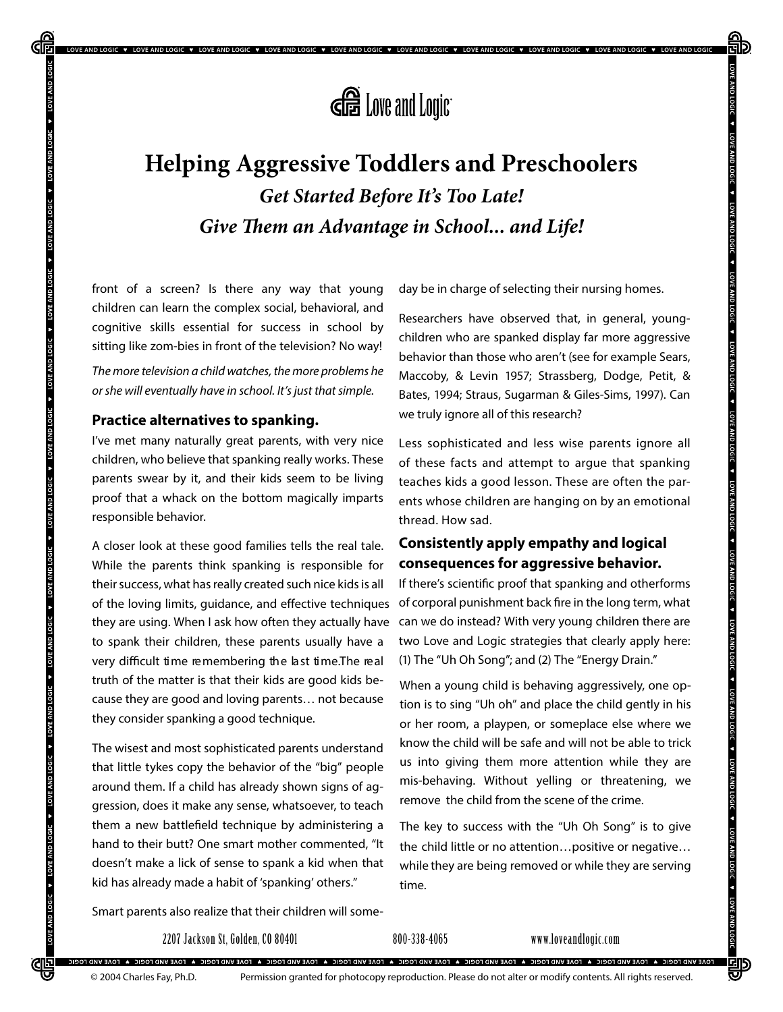

V LOVEAND LOGIC V LOVEAND LOGIC V LOVEAND LOGIC V LOVEAND LOGIC V LOVEAND LOGIC V LOVEAND LOGIC V LOVEAND LOGIC V LOVEAND LOGIC V LOVEAND LOGIC V LOVEAND LOGIC V LOVEAND LOGIC V LOVEAND LOGIC V LOVEAND LOGIC V LOVEAND LOGI

# **Helping Aggressive Toddlers and Preschoolers** *Get Started Before It's Too Late! Give Them an Advantage in School... and Life!*

front of a screen? Is there any way that young children can learn the complex social, behavioral, and cognitive skills essential for success in school by sitting like zom-bies in front of the television? No way!

The more television a child watches, the more problems he or she will eventually have in school. It's just that simple.

### **Practice alternatives to spanking.**

**AND LOGIC** 

I've met many naturally great parents, with very nice children, who believe that spanking really works. These parents swear by it, and their kids seem to be living proof that a whack on the bottom magically imparts responsible behavior.

A closer look at these good families tells the real tale. While the parents think spanking is responsible for their success, what has really created such nice kids is all of the loving limits, guidance, and effective techniques of corporal punishment back fire in the long term, what they are using. When I ask how often they actually have to spank their children, these parents usually have a very difficult time remembering the last time. The real truth of the matter is that their kids are good kids because they are good and loving parents… not because they consider spanking a good technique.

The wisest and most sophisticated parents understand that little tykes copy the behavior of the "big" people around them. If a child has already shown signs of aggression, does it make any sense, whatsoever, to teach them a new battlefield technique by administering a hand to their butt? One smart mother commented, "It doesn't make a lick of sense to spank a kid when that kid has already made a habit of 'spanking' others."

day be in charge of selecting their nursing homes.

Researchers have observed that, in general, youngchildren who are spanked display far more aggressive behavior than those who aren't (see for example Sears, Maccoby, & Levin 1957; Strassberg, Dodge, Petit, & Bates, 1994; Straus, Sugarman & Giles-Sims, 1997). Can we truly ignore all of this research?

Less sophisticated and less wise parents ignore all of these facts and attempt to argue that spanking teaches kids a good lesson. These are often the parents whose children are hanging on by an emotional thread. How sad.

### **Consistently apply empathy and logical consequences for aggressive behavior.**

If there's scientific proof that spanking and otherforms can we do instead? With very young children there are two Love and Logic strategies that clearly apply here: (1) The "Uh Oh Song"; and (2) The "Energy Drain."

When a young child is behaving aggressively, one option is to sing "Uh oh" and place the child gently in his or her room, a playpen, or someplace else where we know the child will be safe and will not be able to trick us into giving them more attention while they are mis-behaving. Without yelling or threatening, we remove the child from the scene of the crime.

The key to success with the "Uh Oh Song" is to give the child little or no attention…positive or negative… while they are being removed or while they are serving time.

Smart parents also realize that their children will some-

2207 Jackson St, Golden, CO 80401 800-338-4065 www.loveandlogic.com

.<br>TOAE VIAD FOOIC & TOAE VIAD FOGIC & TOAE VIAD FOAE VIAD FOGIC A TOAE VIAD FORE VIAD FORE VIAD FORE VIAD FORE VIAD FOAE VIAD FORE VIAD FORE VIAD FORE VIAD FORE VIAD FORE VIAD FORE VIAD FORE VIAD FORE VIAD FORE VIAD FORE V

OVE AND LOGIC

<u>CIE</u>

Permission granted for photocopy reproduction. Please do not alter or modify contents. All rights reserved.

剛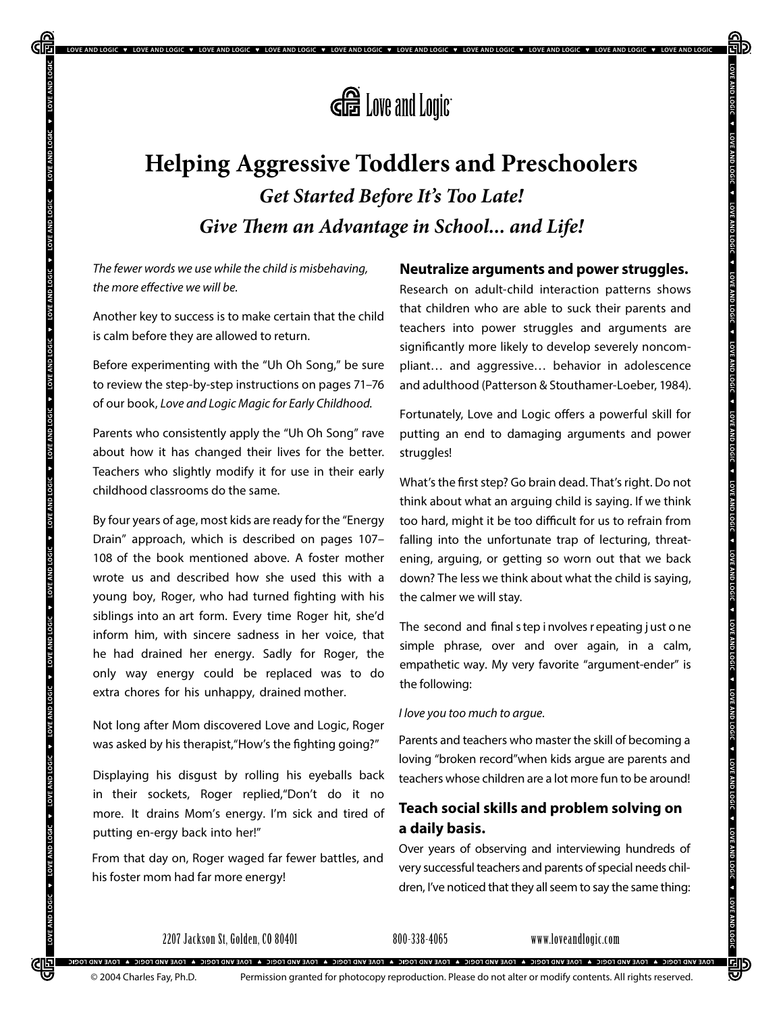

LOVE AND LOGIC V LOVE AND LOGIC V LOVE AND LOGIC V LOVE AND LOGIC V LOVE AND LOGIC V LOVE AND LOGIC V LOVE AND LOGIC V LOVE AND LOGIC V LOVE AND LOGIC V LOVE AND LOGIC V LOVE AND LOGIC V

# **Helping Aggressive Toddlers and Preschoolers** *Get Started Before It's Too Late! Give Them an Advantage in School... and Life!*

The fewer words we use while the child is misbehaving, the more e*ff*ective we will be.

**UP LOGIC** 

Another key to success is to make certain that the child is calm before they are allowed to return.

Before experimenting with the "Uh Oh Song," be sure to review the step-by-step instructions on pages 71–76 of our book, Love and Logic Magic for Early Childhood.

Parents who consistently apply the "Uh Oh Song" rave about how it has changed their lives for the better. Teachers who slightly modify it for use in their early childhood classrooms do the same.

By four years of age, most kids are ready for the "Energy Drain" approach, which is described on pages 107– 108 of the book mentioned above. A foster mother wrote us and described how she used this with a young boy, Roger, who had turned fighting with his siblings into an art form. Every time Roger hit, she'd inform him, with sincere sadness in her voice, that he had drained her energy. Sadly for Roger, the only way energy could be replaced was to do extra chores for his unhappy, drained mother.

Not long after Mom discovered Love and Logic, Roger was asked by his therapist, "How's the fighting going?"

Displaying his disgust by rolling his eyeballs back in their sockets, Roger replied,"Don't do it no more. It drains Mom's energy. I'm sick and tired of putting en-ergy back into her!"

From that day on, Roger waged far fewer battles, and his foster mom had far more energy!

### **Neutralize arguments and power struggles.**

Research on adult-child interaction patterns shows that children who are able to suck their parents and teachers into power struggles and arguments are significantly more likely to develop severely noncompliant… and aggressive… behavior in adolescence and adulthood (Patterson & Stouthamer-Loeber, 1984).

Fortunately, Love and Logic offers a powerful skill for putting an end to damaging arguments and power struggles!

What's the first step? Go brain dead. That's right. Do not think about what an arguing child is saying. If we think too hard, might it be too difficult for us to refrain from falling into the unfortunate trap of lecturing, threatening, arguing, or getting so worn out that we back down? The less we think about what the child is saying, the calmer we will stay.

The second and final s tep i nvolves r epeating j ust o ne simple phrase, over and over again, in a calm, empathetic way. My very favorite "argument-ender" is the following:

#### I love you too much to argue.

Parents and teachers who master the skill of becoming a loving "broken record"when kids argue are parents and teachers whose children are a lot more fun to be around!

### **Teach social skills and problem solving on a daily basis.**

Over years of observing and interviewing hundreds of very successful teachers and parents of special needs children, I've noticed that they all seem to say the same thing:

2207 Jackson St, Golden, CO 80401 800-338-4065 www.loveandlogic.com

.<br>TOAE VAD FOCEIC & FOAE VAD FOGEIC A FOAE VAD FOAE VAD FOEIC A FOAE VAD FOEU A FOAE VAD FOEU CA FOAE VAD FOEU CA FOAE VAD FORE VAD FORE VAD FOR VAD FORE VAR DO FO

**egy**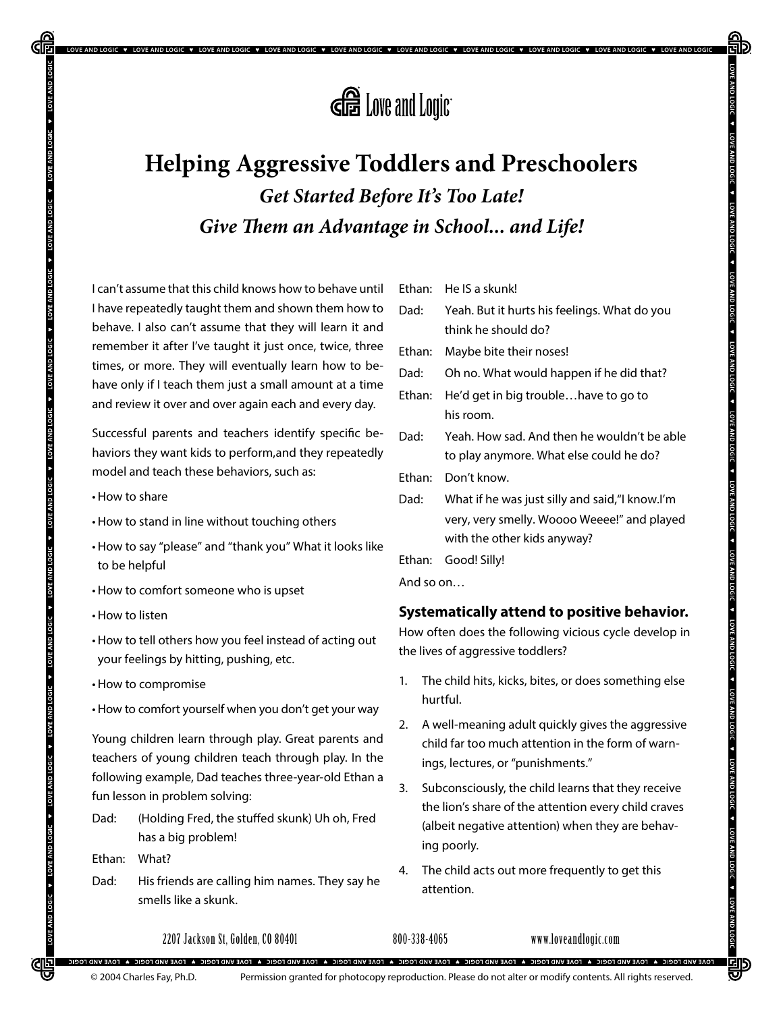

.<br>OVE AND LOGIC ♥ LOVE AND LOGIC ♥ LOVE AND LOGIC ♥ LOVE AND LOGIC ♥ LOVE AND LOGIC ♥ LOVE AND LOGIC ♥ LOVE AND LOGIC ♥ LOVE AND LOGIC

# **Helping Aggressive Toddlers and Preschoolers** *Get Started Before It's Too Late! Give Them an Advantage in School... and Life!*

I can't assume that this child knows how to behave until I have repeatedly taught them and shown them how to behave. I also can't assume that they will learn it and remember it after I've taught it just once, twice, three times, or more. They will eventually learn how to behave only if I teach them just a small amount at a time and review it over and over again each and every day.

Successful parents and teachers identify specific behaviors they want kids to perform,and they repeatedly model and teach these behaviors, such as:

• How to share

AND LOGIC

- • How to stand in line without touching others
- • How to say "please" and "thank you" What it looks like to be helpful
- • How to comfort someone who is upset
- • How to listen
- How to tell others how you feel instead of acting out your feelings by hitting, pushing, etc.
- • How to compromise
- • How to comfort yourself when you don't get your way

Young children learn through play. Great parents and teachers of young children teach through play. In the following example, Dad teaches three-year-old Ethan a fun lesson in problem solving:

Dad: (Holding Fred, the stuffed skunk) Uh oh, Fred has a big problem!

Ethan: What?

OVE AND LOGIC V LOVE AND LOGIC

<u>CIE</u>

Dad: His friends are calling him names. They say he smells like a skunk.

Ethan: He IS a skunk!

| Dad:      | Yeah. But it hurts his feelings. What do you<br>think he should do?                                                           |
|-----------|-------------------------------------------------------------------------------------------------------------------------------|
| Ethan:    | Maybe bite their noses!                                                                                                       |
| Dad:      | Oh no. What would happen if he did that?                                                                                      |
| Ethan:    | He'd get in big troublehave to go to<br>his room.                                                                             |
| Dad:      | Yeah. How sad. And then he wouldn't be able<br>to play anymore. What else could he do?                                        |
| Ethan:    | Don't know.                                                                                                                   |
| Dad:      | What if he was just silly and said, "I know.I'm<br>very, very smelly. Woooo Weeee!" and played<br>with the other kids anyway? |
|           | Ethan: Good! Silly!                                                                                                           |
| And so on |                                                                                                                               |

#### **Systematically attend to positive behavior.**

How often does the following vicious cycle develop in the lives of aggressive toddlers?

- 1. The child hits, kicks, bites, or does something else hurtful.
- 2. A well-meaning adult quickly gives the aggressive child far too much attention in the form of warnings, lectures, or "punishments."
- 3. Subconsciously, the child learns that they receive the lion's share of the attention every child craves (albeit negative attention) when they are behaving poorly.
- 4. The child acts out more frequently to get this attention.

2207 Jackson St, Golden, CO 80401 800-338-4065 www.loveandlogic.com

.<br>4 TOAE VIA DORE C 10 FOAE VIAD FORE VIA DORE VIAD FORE VIAD FORE VIAD FORE A FOAE VIAD FORE 4 FOAE VIAD FORE VIA FORE VIAD FORE VIAD FORE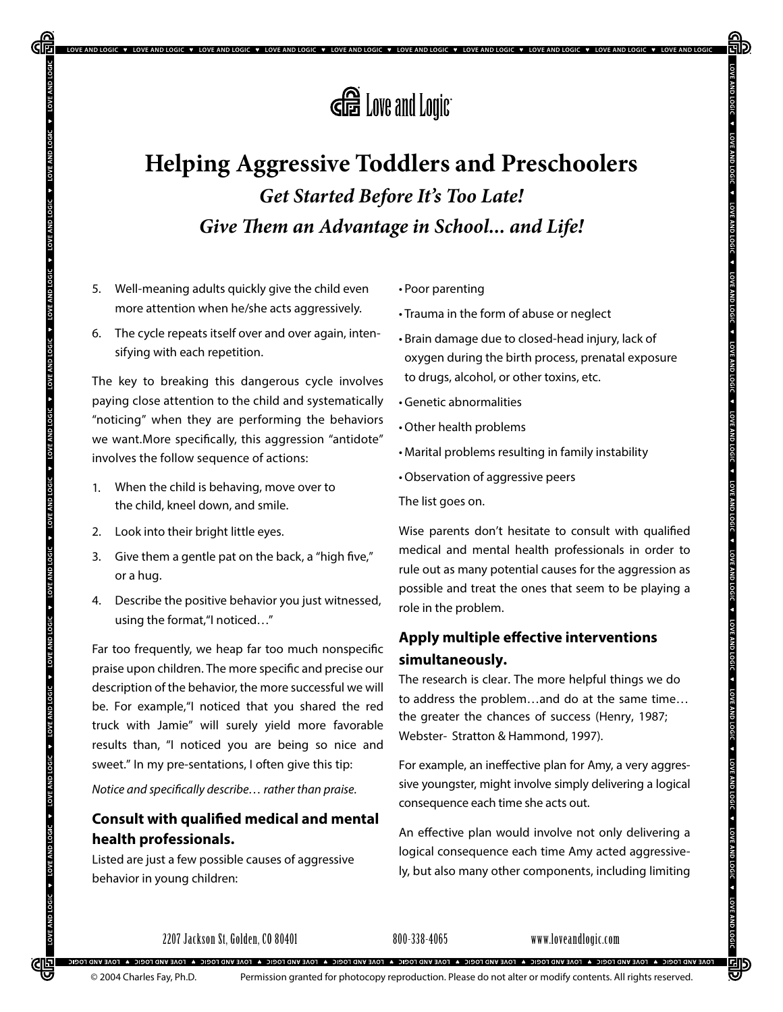

LOVE AND LOGIC ♥ LOVE AND LOGIC ♥ LOVE AND LOGIC ♥ LOVE AND LOGIC ♥ LOVE AND LOGIC ♥ LOVE AND LOGIC ♥ LOVE AND LOGIC ♥ LOVE AND LOGIC

# **Helping Aggressive Toddlers and Preschoolers** *Get Started Before It's Too Late! Give Them an Advantage in School... and Life!*

5. Well-meaning adults quickly give the child even more attention when he/she acts aggressively.

**UP LOGIC** 

6. The cycle repeats itself over and over again, intensifying with each repetition.

The key to breaking this dangerous cycle involves paying close attention to the child and systematically "noticing" when they are performing the behaviors we want.More specifically, this aggression "antidote" involves the follow sequence of actions:

- 1. When the child is behaving, move over to the child, kneel down, and smile.
- 2. Look into their bright little eyes.
- 3. Give them a gentle pat on the back, a "high five," or a hug.
- 4. Describe the positive behavior you just witnessed, using the format,"I noticed…"

Far too frequently, we heap far too much nonspecific praise upon children. The more specific and precise our description of the behavior, the more successful we will be. For example,"I noticed that you shared the red truck with Jamie" will surely yield more favorable results than, "I noticed you are being so nice and sweet." In my pre-sentations, I often give this tip:

Notice and speci*fi*cally describe… rather than praise.

### **Consult with qualified medical and mental health professionals.**

Listed are just a few possible causes of aggressive behavior in young children:

• Poor parenting

• Trauma in the form of abuse or neglect

- Brain damage due to closed-head injury, lack of oxygen during the birth process, prenatal exposure to drugs, alcohol, or other toxins, etc.
- • Genetic abnormalities
- • Other health problems
- • Marital problems resulting in family instability
- • Observation of aggressive peers

The list goes on.

Wise parents don't hesitate to consult with qualified medical and mental health professionals in order to rule out as many potential causes for the aggression as possible and treat the ones that seem to be playing a role in the problem.

### **Apply multiple effective interventions simultaneously.**

The research is clear. The more helpful things we do to address the problem…and do at the same time… the greater the chances of success (Henry, 1987; Webster- Stratton & Hammond, 1997).

For example, an ineffective plan for Amy, a very aggressive youngster, might involve simply delivering a logical consequence each time she acts out.

An effective plan would involve not only delivering a logical consequence each time Amy acted aggressively, but also many other components, including limiting

2207 Jackson St, Golden, CO 80401 800-338-4065 www.loveandlogic.com

.<br>TOAE VAD FOCEIC & FOAE VAD FOGEIC A FOAE VAD FOAE VAD FOEIC A FOAE VAD FOEU A FOAE VAD FOEU CA FOAE VAD FOEU CA FOAE VAD FORE VAD FORE VAD FOR VAD FORE VAR DO FO © 2004 Charles Fay, Ph.D.

AND LOGIC

<u>CIE</u>

Permission granted for photocopy reproduction. Please do not alter or modify contents. All rights reserved.

吵